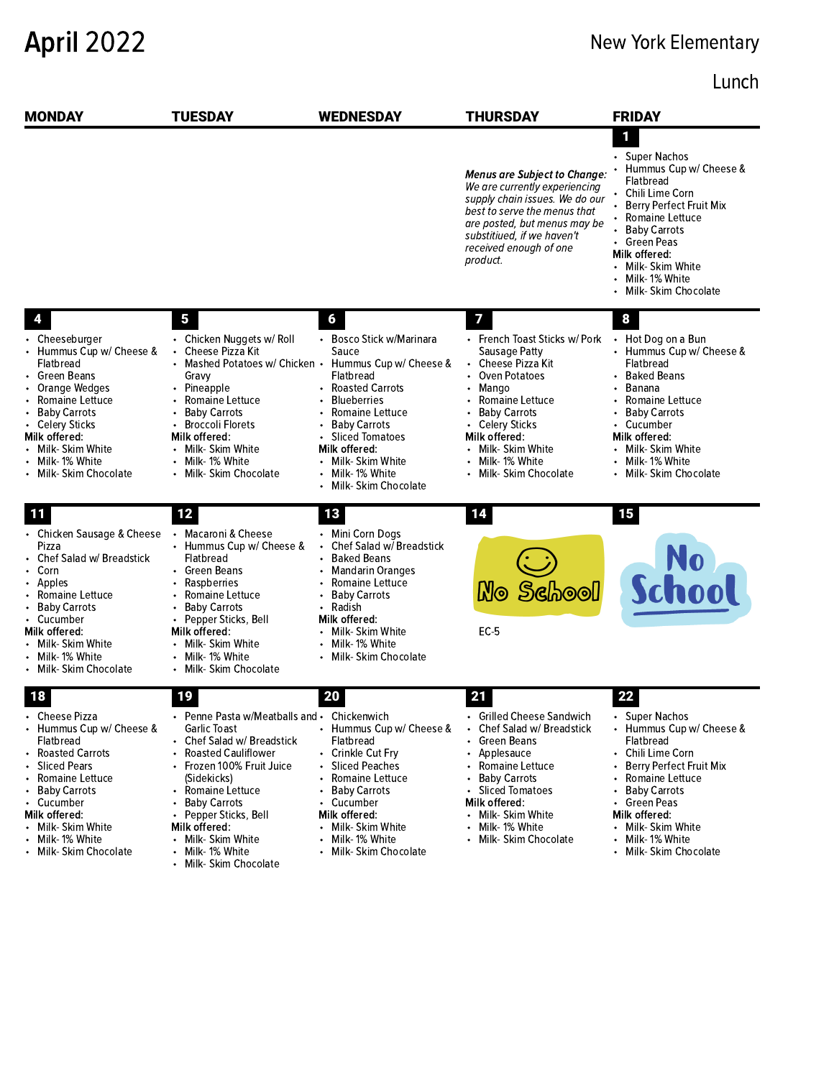## April 2022 New York Elementary

## Lunch

| <b>MONDAY</b>                                                                                                                                                                                                                                                        | <b>TUESDAY</b>                                                                                                                                                                                                                                                                                                                                    | <b>WEDNESDAY</b>                                                                                                                                                                                                                                                             | <b>THURSDAY</b>                                                                                                                                                                                                                                | <b>FRIDAY</b>                                                                                                                                                                                                                                                                    |
|----------------------------------------------------------------------------------------------------------------------------------------------------------------------------------------------------------------------------------------------------------------------|---------------------------------------------------------------------------------------------------------------------------------------------------------------------------------------------------------------------------------------------------------------------------------------------------------------------------------------------------|------------------------------------------------------------------------------------------------------------------------------------------------------------------------------------------------------------------------------------------------------------------------------|------------------------------------------------------------------------------------------------------------------------------------------------------------------------------------------------------------------------------------------------|----------------------------------------------------------------------------------------------------------------------------------------------------------------------------------------------------------------------------------------------------------------------------------|
|                                                                                                                                                                                                                                                                      |                                                                                                                                                                                                                                                                                                                                                   |                                                                                                                                                                                                                                                                              | <b>Menus are Subject to Change:</b><br>We are currently experiencing<br>supply chain issues. We do our<br>best to serve the menus that<br>are posted, but menus may be<br>substitiued, if we haven't<br>received enough of one<br>product.     | 1<br>• Super Nachos<br>Hummus Cup w/ Cheese &<br>Flatbread<br>Chili Lime Corn<br>Berry Perfect Fruit Mix<br>• Romaine Lettuce<br><b>Baby Carrots</b><br>• Green Peas<br>Milk offered:<br>Milk- Skim White<br>$\bullet$<br>Milk-1% White<br>Milk- Skim Chocolate                  |
|                                                                                                                                                                                                                                                                      | 5                                                                                                                                                                                                                                                                                                                                                 | 6                                                                                                                                                                                                                                                                            | 7                                                                                                                                                                                                                                              | 8                                                                                                                                                                                                                                                                                |
| • Cheeseburger<br>Hummus Cup w/ Cheese &<br>Flatbread<br>Green Beans<br>Orange Wedges<br>Romaine Lettuce<br><b>Baby Carrots</b><br>$\bullet$<br>• Celery Sticks<br>Milk offered:<br>Milk- Skim White<br>Milk-1% White<br>Milk- Skim Chocolate                        | • Chicken Nuggets w/ Roll<br>Cheese Pizza Kit<br>• Mashed Potatoes w/ Chicken •<br>Gravy<br>• Pineapple<br>Romaine Lettuce<br><b>Baby Carrots</b><br>$\bullet$<br><b>Broccoli Florets</b><br>Milk offered:<br>• Milk- Skim White<br>• Milk-1% White<br>Milk- Skim Chocolate                                                                       | • Bosco Stick w/Marinara<br>Sauce<br>Hummus Cup w/ Cheese &<br>Flatbread<br><b>Roasted Carrots</b><br><b>Blueberries</b><br>Romaine Lettuce<br><b>Baby Carrots</b><br><b>Sliced Tomatoes</b><br>Milk offered:<br>• Milk- Skim White<br>Milk-1% White<br>Milk- Skim Chocolate | • French Toast Sticks w/ Pork<br>Sausage Patty<br>• Cheese Pizza Kit<br>Oven Potatoes<br>• Mango<br>Romaine Lettuce<br>• Baby Carrots<br>• Celery Sticks<br>Milk offered:<br>• Milk- Skim White<br>• Milk-1% White<br>• Milk- Skim Chocolate   | Hot Dog on a Bun<br>Hummus Cup w/ Cheese &<br>Flatbread<br><b>Baked Beans</b><br>Banana<br>Romaine Lettuce<br><b>Baby Carrots</b><br>$\bullet$<br>Cucumber<br>Milk offered:<br>Milk- Skim White<br>Milk-1% White<br>$\bullet$<br>Milk- Skim Chocolate                            |
| 11                                                                                                                                                                                                                                                                   | 12                                                                                                                                                                                                                                                                                                                                                | 13                                                                                                                                                                                                                                                                           | 14                                                                                                                                                                                                                                             | 15                                                                                                                                                                                                                                                                               |
| • Chicken Sausage & Cheese<br>Pizza<br>Chef Salad w/ Breadstick<br>• Corn<br>Apples<br>$\bullet$<br>Romaine Lettuce<br><b>Baby Carrots</b><br>٠<br>• Cucumber<br>Milk offered:<br>Milk- Skim White<br>• Milk-1% White<br>• Milk- Skim Chocolate                      | • Macaroni & Cheese<br>• Hummus Cup w/ Cheese &<br>Flatbread<br>• Green Beans<br>• Raspberries<br>Romaine Lettuce<br>• Baby Carrots<br>Pepper Sticks, Bell<br>$\bullet$<br>Milk offered:<br>• Milk- Skim White<br>• Milk-1% White<br>• Milk- Skim Chocolate                                                                                       | • Mini Corn Dogs<br>Chef Salad w/ Breadstick<br>$\bullet$<br>• Baked Beans<br><b>Mandarin Oranges</b><br>Romaine Lettuce<br><b>Baby Carrots</b><br>Radish<br>$\bullet$<br>Milk offered:<br>• Milk- Skim White<br>Milk- 1% White<br>• Milk- Skim Chocolate                    | Mo School<br>$EC-5$                                                                                                                                                                                                                            | No<br>School                                                                                                                                                                                                                                                                     |
| 18<br>Cheese Pizza<br>$\bullet$<br>• Hummus Cup w/ Cheese &<br>Flatbread<br>Roasted Carrots<br><b>Sliced Pears</b><br>Romaine Lettuce<br>Baby Carrots<br>٠<br>• Cucumber<br>Milk offered:<br>Milk- Skim White<br>$\bullet$<br>Milk-1% White<br>• Milk-Skim Chocolate | 19<br>• Penne Pasta w/Meatballs and • Chickenwich<br>Garlic Toast<br>• Chef Salad w/ Breadstick<br>Roasted Cauliflower<br>• Frozen 100% Fruit Juice<br>(Sidekicks)<br>• Romaine Lettuce<br><b>Baby Carrots</b><br>Pepper Sticks, Bell<br>$\bullet$<br>Milk offered:<br>• Milk- Skim White<br>Milk-1% White<br>$\bullet$<br>• Milk- Skim Chocolate | 20<br>Hummus Cup w/ Cheese &<br>Flatbread<br>• Crinkle Cut Fry<br>Sliced Peaches<br>Romaine Lettuce<br><b>Baby Carrots</b><br>$\bullet$<br>Cucumber<br>Milk offered:<br>Milk- Skim White<br>Milk-1% White<br>Milk- Skim Chocolate                                            | 21<br>• Grilled Cheese Sandwich<br>• Chef Salad w/ Breadstick<br>• Green Beans<br>• Applesauce<br>• Romaine Lettuce<br>• Baby Carrots<br>• Sliced Tomatoes<br>Milk offered:<br>• Milk- Skim White<br>• Milk-1% White<br>• Milk- Skim Chocolate | 22<br>• Super Nachos<br>• Hummus Cup w/ Cheese &<br>Flatbread<br>Chili Lime Corn<br>Berry Perfect Fruit Mix<br>Romaine Lettuce<br><b>Baby Carrots</b><br>Green Peas<br>Milk offered:<br>Milk- Skim White<br>$\bullet$<br>Milk-1% White<br>$\bullet$<br>Milk- Skim Chocolate<br>٠ |